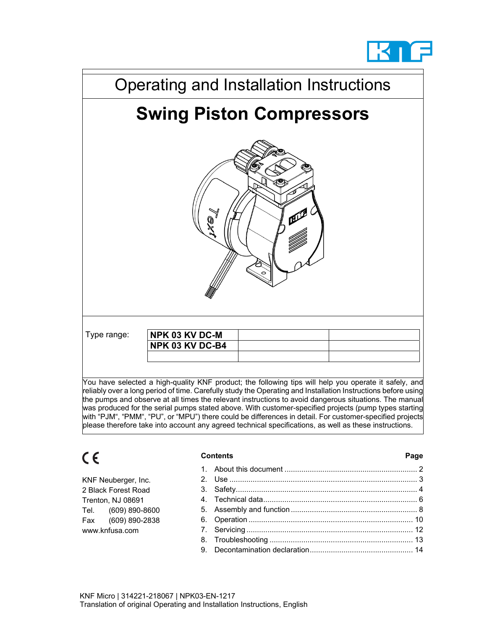



reliably over a long period of time. Carefully study the Operating and Installation Instructions before using the pumps and observe at all times the relevant instructions to avoid dangerous situations. The manual was produced for the serial pumps stated above. With customer-specified projects (pump types starting with "PJM", "PMM", "PU", or "MPU") there could be differences in detail. For customer-specified projects please therefore take into account any agreed technical specifications, as well as these instructions.

# $C \in$

#### **Contents Page**

|                | KNF Neuberger, Inc. |  |  |
|----------------|---------------------|--|--|
|                | 2 Black Forest Road |  |  |
|                | Trenton, NJ 08691   |  |  |
| Tel.           | (609) 890-8600      |  |  |
| Fax            | (609) 890-2838      |  |  |
| www.knfusa.com |                     |  |  |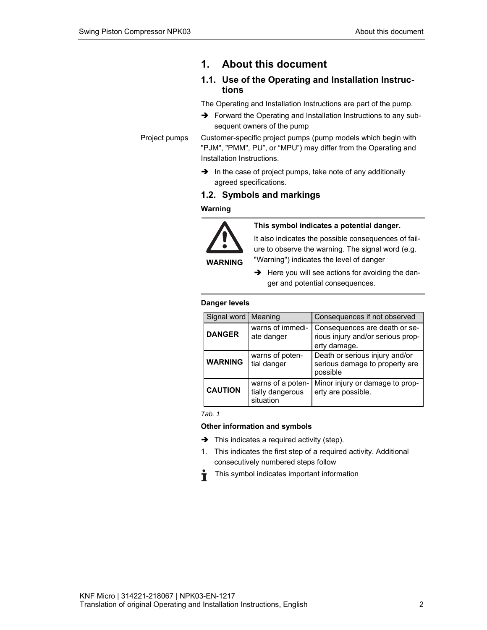# **1. About this document**

# **1.1. Use of the Operating and Installation Instructions**

The Operating and Installation Instructions are part of the pump.

 $\rightarrow$  Forward the Operating and Installation Instructions to any subsequent owners of the pump

Customer-specific project pumps (pump models which begin with "PJM", "PMM", PU", or "MPU") may differ from the Operating and Installation Instructions. Project pumps

> $\rightarrow$  In the case of project pumps, take note of any additionally agreed specifications.

# **1.2. Symbols and markings**

#### **Warning**



**This symbol indicates a potential danger.**

It also indicates the possible consequences of failure to observe the warning. The signal word (e.g. "Warning") indicates the level of danger

 $\rightarrow$  Here you will see actions for avoiding the danger and potential consequences.

#### **Danger levels**

| Signal word Meaning                             |                                                    | Consequences if not observed                                                       |
|-------------------------------------------------|----------------------------------------------------|------------------------------------------------------------------------------------|
| warns of immedi-<br><b>DANGER</b><br>ate danger |                                                    | Consequences are death or se-<br>rious injury and/or serious prop-<br>erty damage. |
| <b>WARNING</b>                                  | warns of poten-<br>tial danger                     | Death or serious injury and/or<br>serious damage to property are<br>possible       |
| <b>CAUTION</b>                                  | warns of a poten-<br>tially dangerous<br>situation | Minor injury or damage to prop-<br>erty are possible.                              |

*Tab. 1* 

#### **Other information and symbols**

- $\rightarrow$  This indicates a required activity (step).
- 1. This indicates the first step of a required activity. Additional consecutively numbered steps follow
- This symbol indicates important information Ť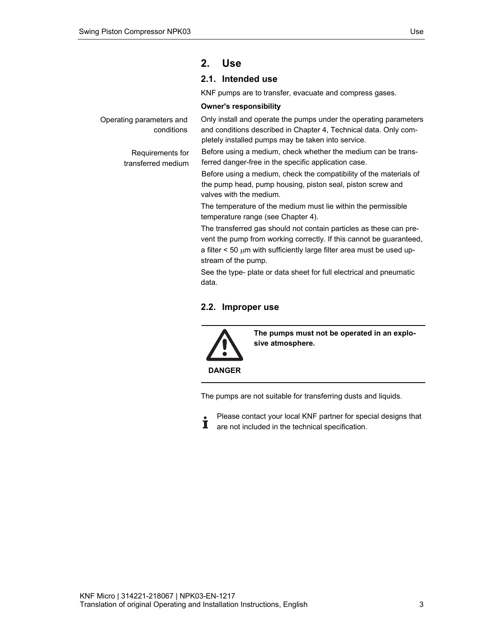# **2. Use**

# **2.1. Intended use**

KNF pumps are to transfer, evacuate and compress gases.

#### **Owner's responsibility**

Operating parameters and conditions

> Requirements for transferred medium

Only install and operate the pumps under the operating parameters and conditions described in Chapter 4, Technical data. Only completely installed pumps may be taken into service.

Before using a medium, check whether the medium can be transferred danger-free in the specific application case.

Before using a medium, check the compatibility of the materials of the pump head, pump housing, piston seal, piston screw and valves with the medium.

The temperature of the medium must lie within the permissible temperature range (see Chapter 4).

The transferred gas should not contain particles as these can prevent the pump from working correctly. If this cannot be guaranteed, a filter  $<$  50  $\mu$ m with sufficiently large filter area must be used upstream of the pump.

See the type- plate or data sheet for full electrical and pneumatic data.

# **2.2. Improper use**



**The pumps must not be operated in an explosive atmosphere.** 

The pumps are not suitable for transferring dusts and liquids.

Please contact your local KNF partner for special designs that  $\dot{\mathbf{I}}$ are not included in the technical specification.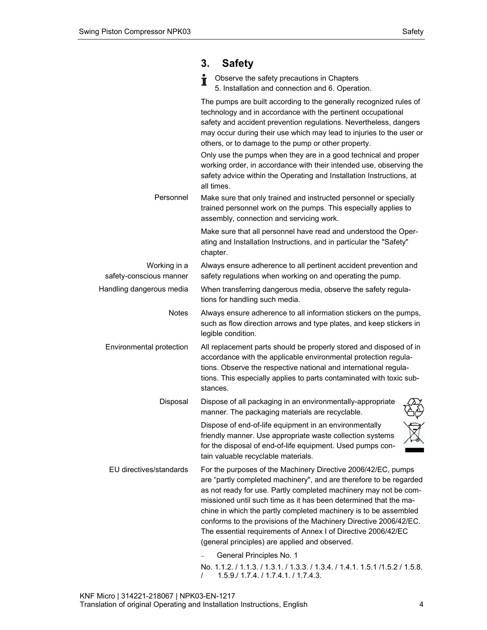# **3. Safety**

**C** Observe the safety precautions in Chapters 5. Installation and connection and 6. Operation.

|                                         | The pumps are built according to the generally recognized rules of<br>technology and in accordance with the pertinent occupational<br>safety and accident prevention regulations. Nevertheless, dangers<br>may occur during their use which may lead to injuries to the user or<br>others, or to damage to the pump or other property.<br>Only use the pumps when they are in a good technical and proper<br>working order, in accordance with their intended use, observing the<br>safety advice within the Operating and Installation Instructions, at<br>all times. |
|-----------------------------------------|------------------------------------------------------------------------------------------------------------------------------------------------------------------------------------------------------------------------------------------------------------------------------------------------------------------------------------------------------------------------------------------------------------------------------------------------------------------------------------------------------------------------------------------------------------------------|
| Personnel                               | Make sure that only trained and instructed personnel or specially<br>trained personnel work on the pumps. This especially applies to<br>assembly, connection and servicing work.                                                                                                                                                                                                                                                                                                                                                                                       |
|                                         | Make sure that all personnel have read and understood the Oper-<br>ating and Installation Instructions, and in particular the "Safety"<br>chapter.                                                                                                                                                                                                                                                                                                                                                                                                                     |
| Working in a<br>safety-conscious manner | Always ensure adherence to all pertinent accident prevention and<br>safety regulations when working on and operating the pump.                                                                                                                                                                                                                                                                                                                                                                                                                                         |
| Handling dangerous media                | When transferring dangerous media, observe the safety regula-<br>tions for handling such media.                                                                                                                                                                                                                                                                                                                                                                                                                                                                        |
| Notes                                   | Always ensure adherence to all information stickers on the pumps,<br>such as flow direction arrows and type plates, and keep stickers in<br>legible condition.                                                                                                                                                                                                                                                                                                                                                                                                         |
| Environmental protection                | All replacement parts should be properly stored and disposed of in<br>accordance with the applicable environmental protection regula-<br>tions. Observe the respective national and international regula-<br>tions. This especially applies to parts contaminated with toxic sub-<br>stances.                                                                                                                                                                                                                                                                          |
| Disposal                                | Dispose of all packaging in an environmentally-appropriate<br>manner. The packaging materials are recyclable.                                                                                                                                                                                                                                                                                                                                                                                                                                                          |
|                                         | Dispose of end-of-life equipment in an environmentally<br>friendly manner. Use appropriate waste collection systems<br>for the disposal of end-of-life equipment. Used pumps con-<br>tain valuable recyclable materials.                                                                                                                                                                                                                                                                                                                                               |
| EU directives/standards                 | For the purposes of the Machinery Directive 2006/42/EC, pumps<br>are "partly completed machinery", and are therefore to be regarded<br>as not ready for use. Partly completed machinery may not be com-<br>missioned until such time as it has been determined that the ma-<br>chine in which the partly completed machinery is to be assembled<br>conforms to the provisions of the Machinery Directive 2006/42/EC.<br>The essential requirements of Annex I of Directive 2006/42/EC<br>(general principles) are applied and observed.<br>General Principles No. 1    |

No. 1.1.2. / 1.1.3. / 1.3.1. / 1.3.3. / 1.3.4. / 1.4.1. 1.5.1 /1.5.2 / 1.5.8. / 1.5.9./ 1.7.4. / 1.7.4.1. / 1.7.4.3.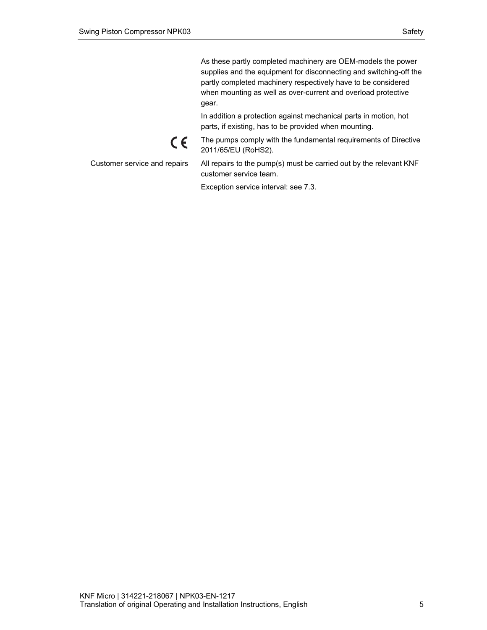As these partly completed machinery are OEM-models the power supplies and the equipment for disconnecting and switching-off the partly completed machinery respectively have to be considered when mounting as well as over-current and overload protective gear.

In addition a protection against mechanical parts in motion, hot parts, if existing, has to be provided when mounting.

# $C \in$

Customer service and repairs

2011/65/EU (RoHS2). All repairs to the pump(s) must be carried out by the relevant KNF

The pumps comply with the fundamental requirements of Directive

Exception service interval: see 7.3.

customer service team.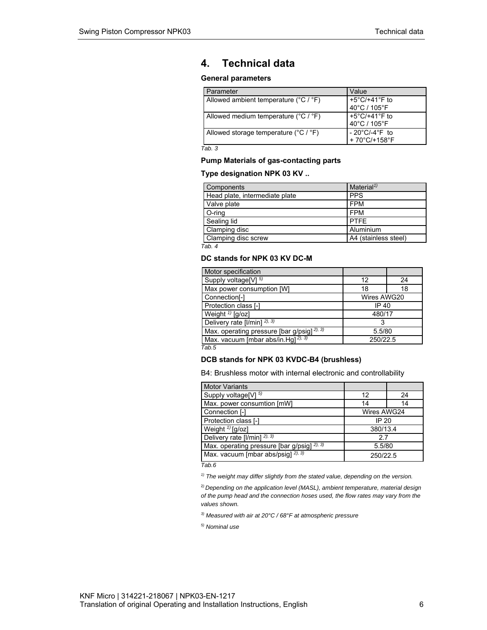# **4. Technical data**

#### **General parameters**

| Parameter                                             | Value                              |
|-------------------------------------------------------|------------------------------------|
| Allowed ambient temperature (°C / °F)                 | +5 $°C$ /+41 $°F$ to               |
|                                                       | 40°C / 105°F                       |
| Allowed medium temperature (°C / °F)                  | +5 $°C$ /+41 $°F$ to               |
|                                                       | 40°C / 105°F                       |
| Allowed storage temperature $(^{\circ}C / ^{\circ}F)$ | $-20^{\circ}$ C/-4 $^{\circ}$ F to |
|                                                       | +70°C/+158°F                       |

*Tab. 3* 

#### **Pump Materials of gas-contacting parts**

#### **Type designation NPK 03 KV ..**

| Components                     | Material <sup><math>1</math></sup> |
|--------------------------------|------------------------------------|
| Head plate, intermediate plate | <b>PPS</b>                         |
| Valve plate                    | <b>FPM</b>                         |
| O-ring                         | <b>FPM</b>                         |
| Sealing lid                    | <b>PTFF</b>                        |
| Clamping disc                  | Aluminium                          |
| Clamping disc screw            | A4 (stainless steel)               |

*Tab. 4* 

#### **DC stands for NPK 03 KV DC-M**

| Motor specification                                              |             |    |
|------------------------------------------------------------------|-------------|----|
| Supply voltage <sup>[V] 5)</sup>                                 | 12          | 24 |
| Max power consumption [W]<br>18                                  |             | 18 |
| Connection[-]                                                    | Wires AWG20 |    |
| Protection class [-]<br>IP 40                                    |             |    |
| Weight $\frac{1}{2}$ [g/oz]<br>480/17                            |             |    |
| Delivery rate [I/min] <sup>2), 3)</sup>                          |             |    |
| Max. operating pressure [bar g/psig] <sup>2), 3)</sup><br>5.5/80 |             |    |
| Max. vacuum [mbar abs/in.Hg] $^{2}$ , 3)<br>250/22.5             |             |    |

*Tab.5* 

#### **DCB stands for NPK 03 KVDC-B4 (brushless)**

B4: Brushless motor with internal electronic and controllability

| <b>Motor Variants</b>                                 |             |    |
|-------------------------------------------------------|-------------|----|
| Supply voltage <sup>[V] 5)</sup>                      | 12          | 24 |
| Max. power consumtion [mW]                            | 14          | 14 |
| Connection [-]                                        | Wires AWG24 |    |
| Protection class [-]<br>IP 20                         |             |    |
| Weight $\sqrt[1]{[g/\text{oz}]}$<br>380/13.4          |             |    |
| Delivery rate [I/min] <sup>2), 3)</sup><br>2.7        |             |    |
| Max. operating pressure [bar g/psig] 2), 3)<br>5.5/80 |             |    |
| Max. vacuum [mbar abs/ $p$ sig] $^{2}$ , 3)           | 250/22.5    |    |

*Tab.6* 

*1) The weight may differ slightly from the stated value, depending on the version.*

<sup>2</sup>*) Depending on the application level (MASL), ambient temperature, material design of the pump head and the connection hoses used, the flow rates may vary from the values shown.* 

*3) Measured with air at 20°C / 68°F at atmospheric pressure* 

*5) Nominal use*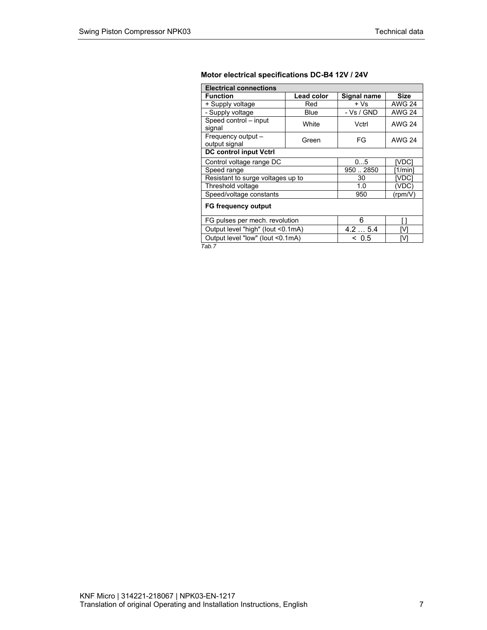# **Motor electrical specifications DC-B4 12V / 24V**

| <b>Electrical connections</b>     |                   |             |               |
|-----------------------------------|-------------------|-------------|---------------|
| <b>Function</b>                   | <b>Lead color</b> | Signal name | <b>Size</b>   |
| + Supply voltage                  | Red               | + Vs        | <b>AWG 24</b> |
| - Supply voltage                  | Blue              | - Vs / GND  | <b>AWG 24</b> |
| Speed control - input             | White             | Vctrl       | <b>AWG 24</b> |
| signal                            |                   |             |               |
| Frequency output -                | Green             | FG          | AWG 24        |
| output signal                     |                   |             |               |
| <b>DC control input Vctrl</b>     |                   |             |               |
| Control voltage range DC          |                   | 05          | [VDC]         |
| Speed range                       |                   | 9502850     | [1/min]       |
| Resistant to surge voltages up to |                   | 30          | IVDC.         |
| Threshold voltage                 |                   | 1.0         | (VDC)         |
| Speed/voltage constants           |                   | 950         | (rpm/V)       |
| <b>FG frequency output</b>        |                   |             |               |
| FG pulses per mech. revolution    |                   | 6           |               |
| Output level "high" (lout <0.1mA) |                   | 4.25.4      | M             |
| Output level "low" (lout <0.1mA)  |                   | ~<~0.5      | M             |

*Tab.7*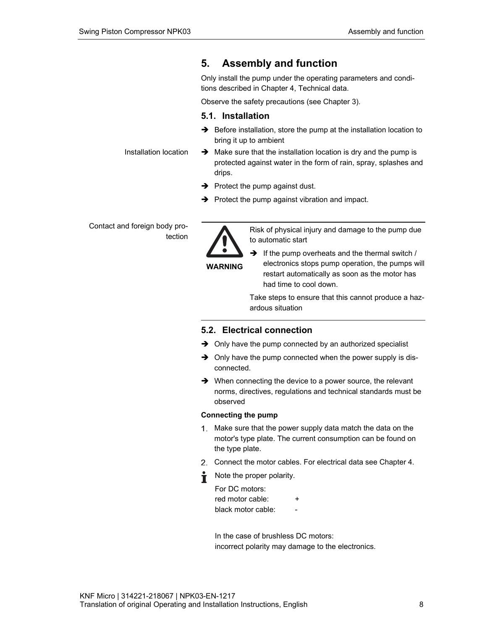# **5. Assembly and function**

Only install the pump under the operating parameters and conditions described in Chapter 4, Technical data.

Observe the safety precautions (see Chapter 3).

# **5.1. Installation**

- $\rightarrow$  Before installation, store the pump at the installation location to bring it up to ambient
- $\rightarrow$  Make sure that the installation location is dry and the pump is protected against water in the form of rain, spray, splashes and drips.
- $\rightarrow$  Protect the pump against dust.
- $\rightarrow$  Protect the pump against vibration and impact.

Contact and foreign body protection

Installation location



Risk of physical injury and damage to the pump due to automatic start

**WARNING** 

 $\rightarrow$  If the pump overheats and the thermal switch / electronics stops pump operation, the pumps will restart automatically as soon as the motor has had time to cool down.

Take steps to ensure that this cannot produce a hazardous situation

# **5.2. Electrical connection**

- $\rightarrow$  Only have the pump connected by an authorized specialist
- $\rightarrow$  Only have the pump connected when the power supply is disconnected.
- $\rightarrow$  When connecting the device to a power source, the relevant norms, directives, regulations and technical standards must be observed

#### **Connecting the pump**

- Make sure that the power supply data match the data on the motor's type plate. The current consumption can be found on the type plate.
- Connect the motor cables. For electrical data see Chapter 4.
- Note the proper polarity.

| For DC motors:     |   |
|--------------------|---|
| red motor cable:   | ÷ |
| black motor cable: |   |

In the case of brushless DC motors: incorrect polarity may damage to the electronics.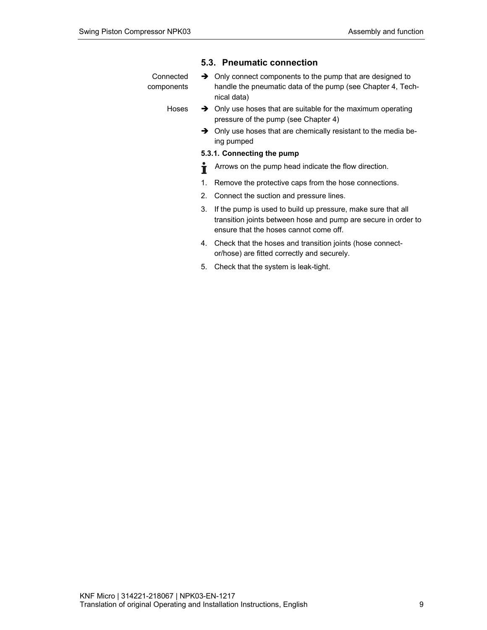### **5.3. Pneumatic connection**

| Connected  | $\rightarrow$ Only connect components to the pump that are designed to |  |
|------------|------------------------------------------------------------------------|--|
| components | handle the pneumatic data of the pump (see Chapter 4, Tech-            |  |
|            | nical data)                                                            |  |

- $\rightarrow$  Only use hoses that are suitable for the maximum operating pressure of the pump (see Chapter 4) Hoses
	- $\rightarrow$  Only use hoses that are chemically resistant to the media being pumped

#### **5.3.1. Connecting the pump**

- Arrows on the pump head indicate the flow direction. Ť
- 1. Remove the protective caps from the hose connections.
- 2. Connect the suction and pressure lines.
- 3. If the pump is used to build up pressure, make sure that all transition joints between hose and pump are secure in order to ensure that the hoses cannot come off.
- 4. Check that the hoses and transition joints (hose connector/hose) are fitted correctly and securely.
- 5. Check that the system is leak-tight.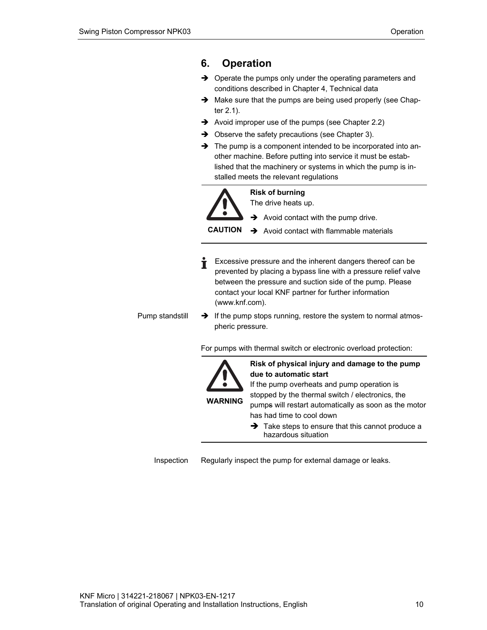# **6. Operation**

- → Operate the pumps only under the operating parameters and conditions described in Chapter 4, Technical data
- $\rightarrow$  Make sure that the pumps are being used properly (see Chapter 2.1).
- Avoid improper use of the pumps (see Chapter 2.2)
- $\rightarrow$  Observe the safety precautions (see Chapter 3).
- $\rightarrow$  The pump is a component intended to be incorporated into another machine. Before putting into service it must be established that the machinery or systems in which the pump is installed meets the relevant regulations



# **Risk of burning**

The drive heats up.

 $\rightarrow$  Avoid contact with the pump drive.

**CAUTION**   $\rightarrow$  Avoid contact with flammable materials

Excessive pressure and the inherent dangers thereof can be prevented by placing a bypass line with a pressure relief valve between the pressure and suction side of the pump. Please contact your local KNF partner for further information (www.knf.com).

 $\rightarrow$  If the pump stops running, restore the system to normal atmospheric pressure. Pump standstill

For pumps with thermal switch or electronic overload protection:



**Risk of physical injury and damage to the pump due to automatic start** 

If the pump overheats and pump operation is stopped by the thermal switch / electronics, the pumps will restart automatically as soon as the motor has had time to cool down

 $\rightarrow$  Take steps to ensure that this cannot produce a hazardous situation

Regularly inspect the pump for external damage or leaks. Inspection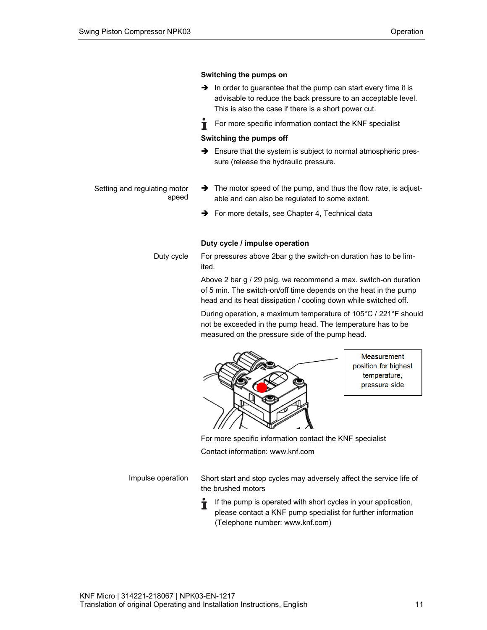#### **Switching the pumps on**

- $\rightarrow$  In order to guarantee that the pump can start every time it is advisable to reduce the back pressure to an acceptable level. This is also the case if there is a short power cut.
- Ť For more specific information contact the KNF specialist

#### **Switching the pumps off**

 $\rightarrow$  Ensure that the system is subject to normal atmospheric pressure (release the hydraulic pressure.

#### Setting and regulating motor speed

- $\rightarrow$  The motor speed of the pump, and thus the flow rate, is adjustable and can also be regulated to some extent.
- $\rightarrow$  For more details, see Chapter 4, Technical data

#### **Duty cycle / impulse operation**

For pressures above 2bar g the switch-on duration has to be limited. Duty cycle

> Above 2 bar g / 29 psig, we recommend a max. switch-on duration of 5 min. The switch-on/off time depends on the heat in the pump head and its heat dissipation / cooling down while switched off.

During operation, a maximum temperature of 105°C / 221°F should not be exceeded in the pump head. The temperature has to be measured on the pressure side of the pump head.



**Measurement** position for highest temperature, pressure side

For more specific information contact the KNF specialist

Contact information: www.knf.com

Impulse operation

Short start and stop cycles may adversely affect the service life of the brushed motors

If the pump is operated with short cycles in your application, please contact a KNF pump specialist for further information (Telephone number: www.knf.com)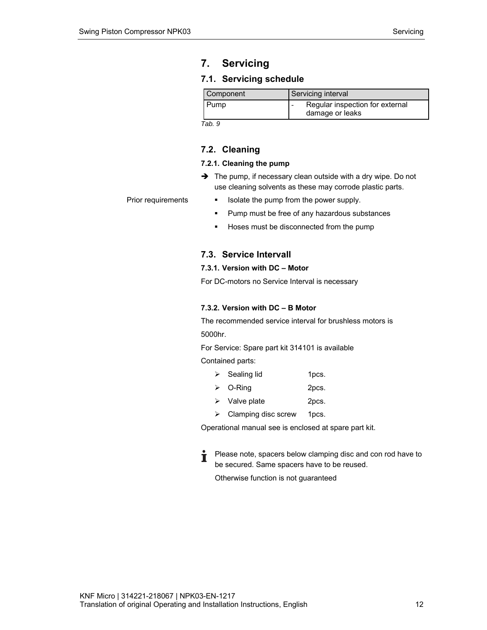# **7. Servicing**

# **7.1. Servicing schedule**

| Component | Servicing interval                                 |  |
|-----------|----------------------------------------------------|--|
| Pump      | Regular inspection for external<br>damage or leaks |  |

*Tab. 9* 

# **7.2. Cleaning**

#### **7.2.1. Cleaning the pump**

 $\rightarrow$  The pump, if necessary clean outside with a dry wipe. Do not use cleaning solvents as these may corrode plastic parts.

**If** Isolate the pump from the power supply. Prior requirements

- **Pump must be free of any hazardous substances**
- **Hoses must be disconnected from the pump**

# **7.3. Service Intervall**

#### **7.3.1. Version with DC – Motor**

For DC-motors no Service Interval is necessary

#### **7.3.2. Version with DC – B Motor**

The recommended service interval for brushless motors is 5000hr.

For Service: Spare part kit 314101 is available

Contained parts:

- $\triangleright$  Sealing lid 1 pcs.
- O-Ring 2pcs.
- $\triangleright$  Valve plate 2pcs.
- $\triangleright$  Clamping disc screw 1pcs.

Operational manual see is enclosed at spare part kit.

Please note, spacers below clamping disc and con rod have to Ť be secured. Same spacers have to be reused.

Otherwise function is not guaranteed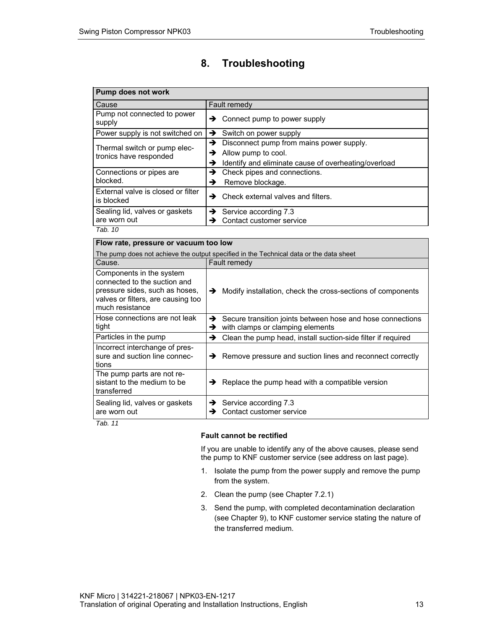# **8. Troubleshooting**

| Pump does not work                               |                                                           |  |  |
|--------------------------------------------------|-----------------------------------------------------------|--|--|
| Cause                                            | Fault remedy                                              |  |  |
| Pump not connected to power<br>supply            | Connect pump to power supply<br>→                         |  |  |
| Power supply is not switched on                  | Switch on power supply<br>$\rightarrow$                   |  |  |
| Thermal switch or pump elec-                     | $\rightarrow$ Disconnect pump from mains power supply.    |  |  |
| tronics have responded                           | Allow pump to cool.<br>→                                  |  |  |
|                                                  | Identify and eliminate cause of overheating/overload<br>→ |  |  |
| Connections or pipes are                         | Check pipes and connections.<br>→                         |  |  |
| blocked.                                         | Remove blockage.<br>→                                     |  |  |
| External valve is closed or filter<br>is blocked | Check external valves and filters.<br>→                   |  |  |
| Sealing lid, valves or gaskets                   | Service according 7.3<br>→                                |  |  |
| are worn out                                     | Contact customer service                                  |  |  |
| Tab. 10                                          |                                                           |  |  |

| Flow rate, pressure or vacuum too low                                                                                                               |                                                                                                          |
|-----------------------------------------------------------------------------------------------------------------------------------------------------|----------------------------------------------------------------------------------------------------------|
|                                                                                                                                                     | The pump does not achieve the output specified in the Technical data or the data sheet                   |
| Cause.                                                                                                                                              | Fault remedy                                                                                             |
| Components in the system<br>connected to the suction and<br>pressure sides, such as hoses,<br>valves or filters, are causing too<br>much resistance | Modify installation, check the cross-sections of components<br>→                                         |
| Hose connections are not leak<br>tight                                                                                                              | Secure transition joints between hose and hose connections<br>→<br>with clamps or clamping elements<br>→ |
| Particles in the pump                                                                                                                               | Clean the pump head, install suction-side filter if required<br>→                                        |
| Incorrect interchange of pres-<br>sure and suction line connec-<br>tions                                                                            | Remove pressure and suction lines and reconnect correctly<br>→                                           |
| The pump parts are not re-<br>sistant to the medium to be<br>transferred                                                                            | Replace the pump head with a compatible version<br>→                                                     |
| Sealing lid, valves or gaskets<br>are worn out<br>— <i>. </i>                                                                                       | Service according 7.3<br>→<br>Contact customer service<br>→                                              |

*Tab. 11* 

### **Fault cannot be rectified**

If you are unable to identify any of the above causes, please send the pump to KNF customer service (see address on last page).

- 1. Isolate the pump from the power supply and remove the pump from the system.
- 2. Clean the pump (see Chapter 7.2.1)
- 3. Send the pump, with completed decontamination declaration (see Chapter 9), to KNF customer service stating the nature of the transferred medium.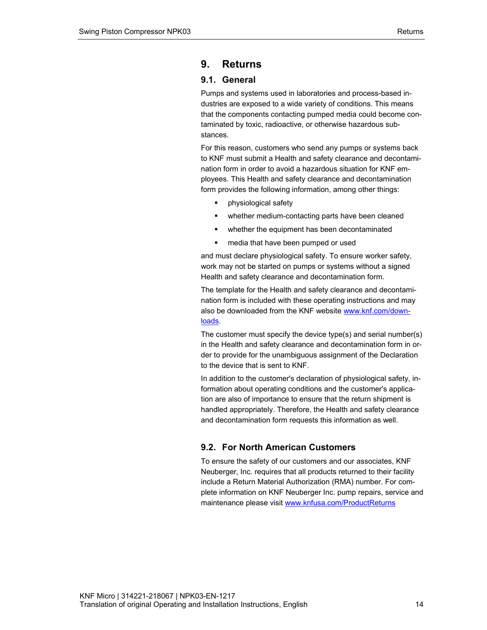# **9. Returns**

# **9.1. General**

Pumps and systems used in laboratories and process-based industries are exposed to a wide variety of conditions. This means that the components contacting pumped media could become contaminated by toxic, radioactive, or otherwise hazardous substances.

For this reason, customers who send any pumps or systems back to KNF must submit a Health and safety clearance and decontamination form in order to avoid a hazardous situation for KNF employees. This Health and safety clearance and decontamination form provides the following information, among other things:

- physiological safety
- **whether medium-contacting parts have been cleaned**
- whether the equipment has been decontaminated
- **n** media that have been pumped or used

and must declare physiological safety. To ensure worker safety, work may not be started on pumps or systems without a signed Health and safety clearance and decontamination form.

The template for the Health and safety clearance and decontamination form is included with these operating instructions and may also be downloaded from the KNF website www.knf.com/downloads.

The customer must specify the device type(s) and serial number(s) in the Health and safety clearance and decontamination form in order to provide for the unambiguous assignment of the Declaration to the device that is sent to KNF.

In addition to the customer's declaration of physiological safety, information about operating conditions and the customer's application are also of importance to ensure that the return shipment is handled appropriately. Therefore, the Health and safety clearance and decontamination form requests this information as well.

# **9.2. For North American Customers**

To ensure the safety of our customers and our associates, KNF Neuberger, Inc. requires that all products returned to their facility include a Return Material Authorization (RMA) number. For complete information on KNF Neuberger Inc. pump repairs, service and maintenance please visit www.knfusa.com/ProductReturns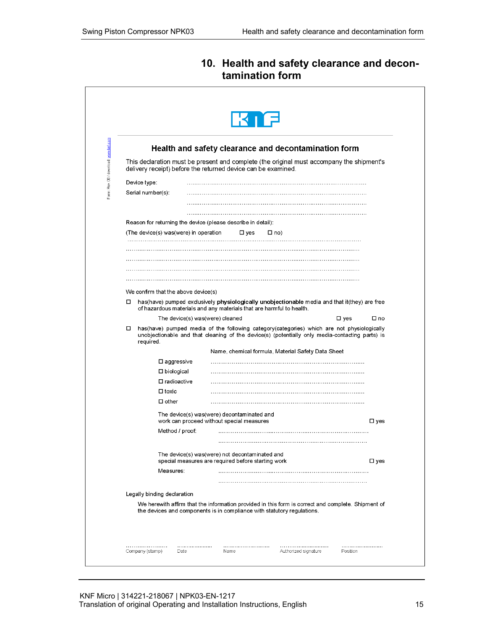# **10. Health and safety clearance and decontamination form**

| delivery receipt) before the returned device can be examined. | Health and safety clearance and decontamination form<br>This declaration must be present and complete (the original must accompany the shipment's |                                                                                                                                                                                                                                                                                                                                                                                                                                                                                                                                                                                                                                                                                                                                                                                                                                                                                             |
|---------------------------------------------------------------|---------------------------------------------------------------------------------------------------------------------------------------------------|---------------------------------------------------------------------------------------------------------------------------------------------------------------------------------------------------------------------------------------------------------------------------------------------------------------------------------------------------------------------------------------------------------------------------------------------------------------------------------------------------------------------------------------------------------------------------------------------------------------------------------------------------------------------------------------------------------------------------------------------------------------------------------------------------------------------------------------------------------------------------------------------|
|                                                               |                                                                                                                                                   |                                                                                                                                                                                                                                                                                                                                                                                                                                                                                                                                                                                                                                                                                                                                                                                                                                                                                             |
|                                                               |                                                                                                                                                   |                                                                                                                                                                                                                                                                                                                                                                                                                                                                                                                                                                                                                                                                                                                                                                                                                                                                                             |
|                                                               |                                                                                                                                                   |                                                                                                                                                                                                                                                                                                                                                                                                                                                                                                                                                                                                                                                                                                                                                                                                                                                                                             |
|                                                               |                                                                                                                                                   |                                                                                                                                                                                                                                                                                                                                                                                                                                                                                                                                                                                                                                                                                                                                                                                                                                                                                             |
|                                                               |                                                                                                                                                   |                                                                                                                                                                                                                                                                                                                                                                                                                                                                                                                                                                                                                                                                                                                                                                                                                                                                                             |
|                                                               |                                                                                                                                                   |                                                                                                                                                                                                                                                                                                                                                                                                                                                                                                                                                                                                                                                                                                                                                                                                                                                                                             |
|                                                               |                                                                                                                                                   |                                                                                                                                                                                                                                                                                                                                                                                                                                                                                                                                                                                                                                                                                                                                                                                                                                                                                             |
|                                                               |                                                                                                                                                   |                                                                                                                                                                                                                                                                                                                                                                                                                                                                                                                                                                                                                                                                                                                                                                                                                                                                                             |
|                                                               |                                                                                                                                                   |                                                                                                                                                                                                                                                                                                                                                                                                                                                                                                                                                                                                                                                                                                                                                                                                                                                                                             |
|                                                               |                                                                                                                                                   |                                                                                                                                                                                                                                                                                                                                                                                                                                                                                                                                                                                                                                                                                                                                                                                                                                                                                             |
|                                                               |                                                                                                                                                   |                                                                                                                                                                                                                                                                                                                                                                                                                                                                                                                                                                                                                                                                                                                                                                                                                                                                                             |
|                                                               |                                                                                                                                                   |                                                                                                                                                                                                                                                                                                                                                                                                                                                                                                                                                                                                                                                                                                                                                                                                                                                                                             |
| We confirm that the above device(s)                           |                                                                                                                                                   |                                                                                                                                                                                                                                                                                                                                                                                                                                                                                                                                                                                                                                                                                                                                                                                                                                                                                             |
|                                                               |                                                                                                                                                   |                                                                                                                                                                                                                                                                                                                                                                                                                                                                                                                                                                                                                                                                                                                                                                                                                                                                                             |
| The device(s) was(were) cleaned                               |                                                                                                                                                   | $\square$ yes<br>$\square$ no                                                                                                                                                                                                                                                                                                                                                                                                                                                                                                                                                                                                                                                                                                                                                                                                                                                               |
|                                                               |                                                                                                                                                   |                                                                                                                                                                                                                                                                                                                                                                                                                                                                                                                                                                                                                                                                                                                                                                                                                                                                                             |
|                                                               |                                                                                                                                                   |                                                                                                                                                                                                                                                                                                                                                                                                                                                                                                                                                                                                                                                                                                                                                                                                                                                                                             |
|                                                               |                                                                                                                                                   |                                                                                                                                                                                                                                                                                                                                                                                                                                                                                                                                                                                                                                                                                                                                                                                                                                                                                             |
|                                                               |                                                                                                                                                   |                                                                                                                                                                                                                                                                                                                                                                                                                                                                                                                                                                                                                                                                                                                                                                                                                                                                                             |
|                                                               |                                                                                                                                                   |                                                                                                                                                                                                                                                                                                                                                                                                                                                                                                                                                                                                                                                                                                                                                                                                                                                                                             |
|                                                               |                                                                                                                                                   |                                                                                                                                                                                                                                                                                                                                                                                                                                                                                                                                                                                                                                                                                                                                                                                                                                                                                             |
|                                                               |                                                                                                                                                   |                                                                                                                                                                                                                                                                                                                                                                                                                                                                                                                                                                                                                                                                                                                                                                                                                                                                                             |
|                                                               |                                                                                                                                                   | $\square$ yes                                                                                                                                                                                                                                                                                                                                                                                                                                                                                                                                                                                                                                                                                                                                                                                                                                                                               |
|                                                               |                                                                                                                                                   |                                                                                                                                                                                                                                                                                                                                                                                                                                                                                                                                                                                                                                                                                                                                                                                                                                                                                             |
|                                                               |                                                                                                                                                   |                                                                                                                                                                                                                                                                                                                                                                                                                                                                                                                                                                                                                                                                                                                                                                                                                                                                                             |
|                                                               |                                                                                                                                                   |                                                                                                                                                                                                                                                                                                                                                                                                                                                                                                                                                                                                                                                                                                                                                                                                                                                                                             |
|                                                               |                                                                                                                                                   | □ yes                                                                                                                                                                                                                                                                                                                                                                                                                                                                                                                                                                                                                                                                                                                                                                                                                                                                                       |
|                                                               |                                                                                                                                                   |                                                                                                                                                                                                                                                                                                                                                                                                                                                                                                                                                                                                                                                                                                                                                                                                                                                                                             |
|                                                               |                                                                                                                                                   |                                                                                                                                                                                                                                                                                                                                                                                                                                                                                                                                                                                                                                                                                                                                                                                                                                                                                             |
|                                                               |                                                                                                                                                   |                                                                                                                                                                                                                                                                                                                                                                                                                                                                                                                                                                                                                                                                                                                                                                                                                                                                                             |
|                                                               |                                                                                                                                                   |                                                                                                                                                                                                                                                                                                                                                                                                                                                                                                                                                                                                                                                                                                                                                                                                                                                                                             |
|                                                               |                                                                                                                                                   |                                                                                                                                                                                                                                                                                                                                                                                                                                                                                                                                                                                                                                                                                                                                                                                                                                                                                             |
|                                                               | (The device(s) was(were) in operation<br>□ yes                                                                                                    | Reason for returning the device (please describe in detail):<br>□ no)<br>has (have) pumped exclusively physiologically unobjectionable media and that it (they) are free<br>of hazardous materials and any materials that are harmful to health.<br>has(have) pumped media of the following category(categories) which are not physiologically<br>unobjectionable and that cleaning of the device(s) (potentially only media-contacting parts) is<br>Name, chemical formula, Material Safety Data Sheet<br>The device(s) was(were) decontaminated and<br>work can proceed without special measures<br>The device(s) was(were) not decontaminated and<br>special measures are required before starting work<br>We herewith affirm that the information provided in this form is correct and complete. Shipment of<br>the devices and components is in compliance with statutory regulations. |